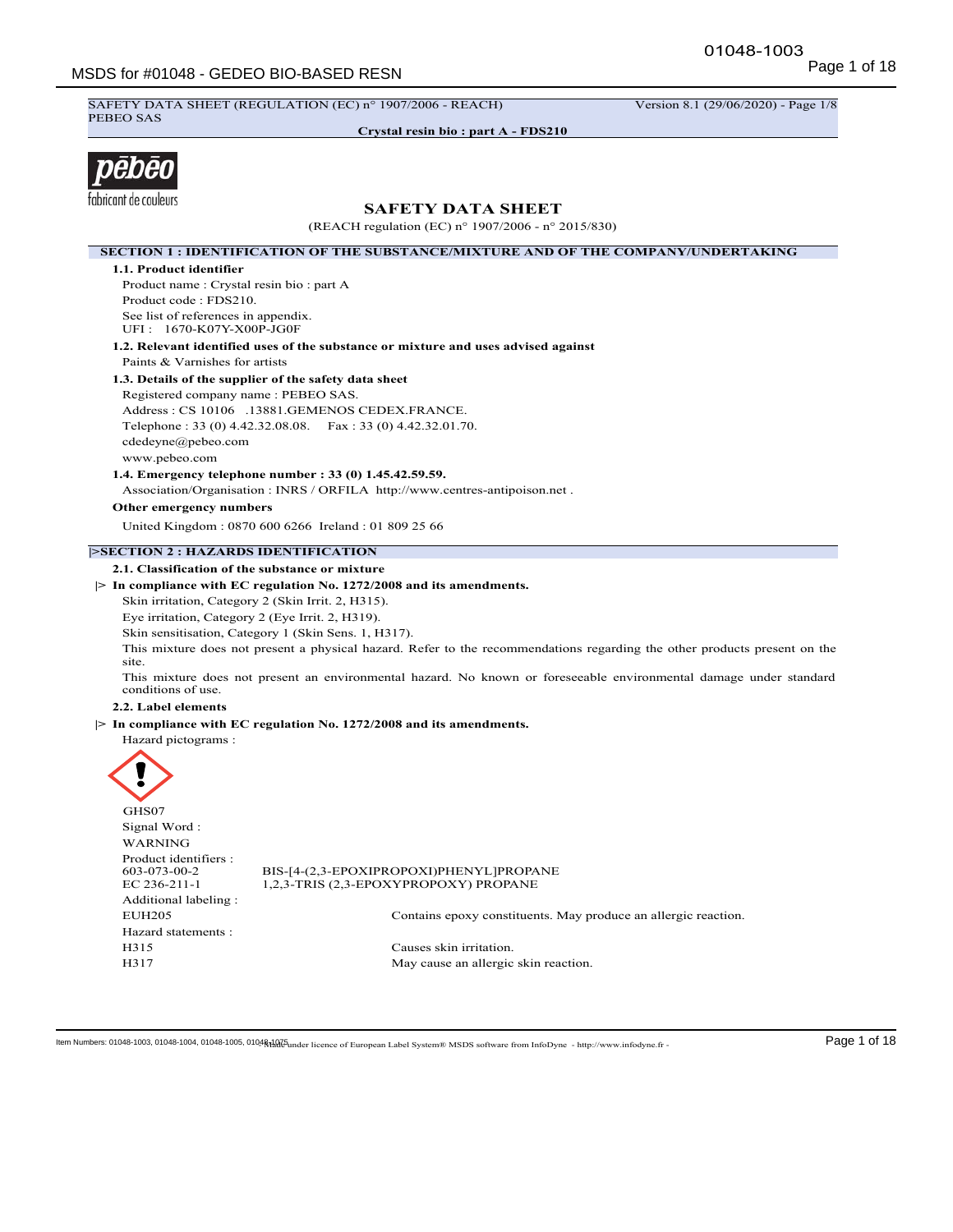SAFETY DATA SHEET (REGULATION (EC) n° 1907/2006 - REACH) Version 8.1 (29/06/2020) - Page 1/8 PEBEO SAS

**Crystal resin bio : part A - FDS210**



# **SAFETY DATA SHEET**

(REACH regulation (EC) n° 1907/2006 - n° 2015/830)

**SECTION 1 : IDENTIFICATION OF THE SUBSTANCE/MIXTURE AND OF THE COMPANY/UNDERTAKING 1.1. Product identifier** Product name : Crystal resin bio : part A Product code : FDS210. See list of references in appendix. UFI : 1670-K07Y-X00P-JG0F **1.2. Relevant identified uses of the substance or mixture and uses advised against** Paints & Varnishes for artists **1.3. Details of the supplier of the safety data sheet** Registered company name : PEBEO SAS. Address : CS 10106 .13881.GEMENOS CEDEX.FRANCE. Telephone : 33 (0) 4.42.32.08.08. Fax : 33 (0) 4.42.32.01.70. cdedeyne@pebeo.com www.pebeo.com **1.4. Emergency telephone number : 33 (0) 1.45.42.59.59.** Association/Organisation : INRS / ORFILA http://www.centres-antipoison.net . **Other emergency numbers** United Kingdom : 0870 600 6266 Ireland : 01 809 25 66 **|>SECTION 2 : HAZARDS IDENTIFICATION 2.1. Classification of the substance or mixture |> In compliance with EC regulation No. 1272/2008 and its amendments.** Skin irritation, Category 2 (Skin Irrit. 2, H315). Eye irritation, Category 2 (Eye Irrit. 2, H319). Skin sensitisation, Category 1 (Skin Sens. 1, H317). This mixture does not present a physical hazard. Refer to the recommendations regarding the other products present on the site. This mixture does not present an environmental hazard. No known or foreseeable environmental damage under standard conditions of use. **2.2. Label elements |> In compliance with EC regulation No. 1272/2008 and its amendments.** Hazard pictograms :

| BIS-[4-(2,3-EPOXIPROPOXI)PHENYL]PROPANE<br>1,2,3-TRIS (2,3-EPOXYPROPOXY) PROPANE |
|----------------------------------------------------------------------------------|
|                                                                                  |
| Contains epoxy constituents. May produce an allergic reaction.                   |
|                                                                                  |
| Causes skin irritation.                                                          |
| May cause an allergic skin reaction.                                             |
|                                                                                  |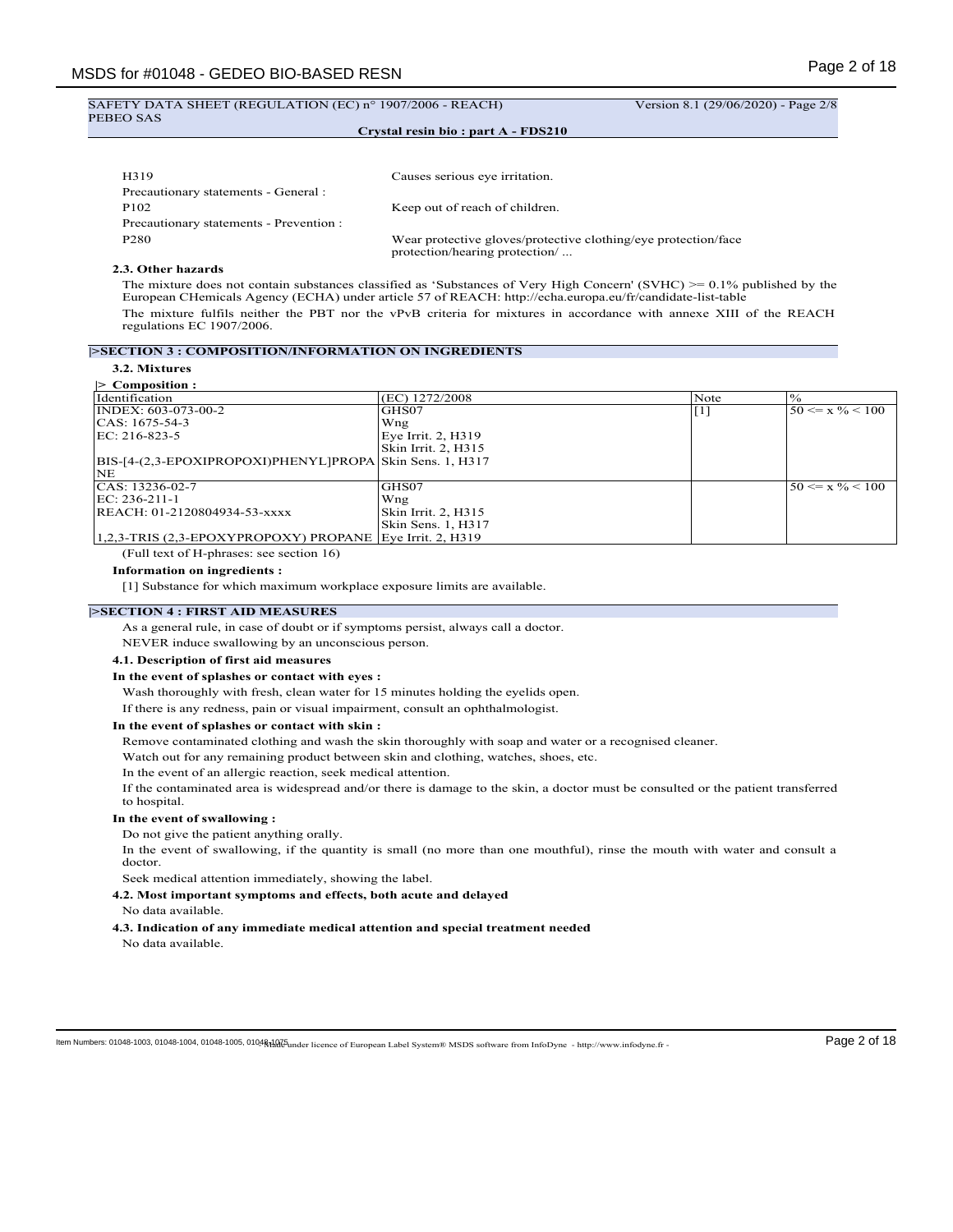#### SAFETY DATA SHEET (REGULATION (EC) n° 1907/2006 - REACH) Version 8.1 (29/06/2020) - Page 2/8 PEBEO SAS

# **Crystal resin bio : part A - FDS210**

| H319                                    | Causes serious eye irritation.                                                                   |
|-----------------------------------------|--------------------------------------------------------------------------------------------------|
| Precautionary statements - General :    |                                                                                                  |
| P <sub>102</sub>                        | Keep out of reach of children.                                                                   |
| Precautionary statements - Prevention : |                                                                                                  |
| P <sub>280</sub>                        | Wear protective gloves/protective clothing/eye protection/face<br>protection/hearing protection/ |

# **2.3. Other hazards**

The mixture does not contain substances classified as 'Substances of Very High Concern' (SVHC) >= 0.1% published by the European CHemicals Agency (ECHA) under article 57 of REACH: http://echa.europa.eu/fr/candidate-list-table The mixture fulfils neither the PBT nor the vPvB criteria for mixtures in accordance with annexe XIII of the REACH regulations EC 1907/2006.

#### **|>SECTION 3 : COMPOSITION/INFORMATION ON INGREDIENTS**

# **3.2. Mixtures**

| $\triangleright$ Composition :                                  |                     |       |                        |
|-----------------------------------------------------------------|---------------------|-------|------------------------|
| Identification                                                  | (EC) 1272/2008      | Note  | $\frac{10}{6}$         |
| INDEX: 603-073-00-2                                             | GHS07               | [ 1 ] | $150 \le x \% \le 100$ |
| ICAS: 1675-54-3                                                 | Wng                 |       |                        |
| EC: 216-823-5                                                   | Eye Irrit. 2, H319  |       |                        |
|                                                                 | Skin Irrit. 2, H315 |       |                        |
| BIS-[4-(2,3-EPOXIPROPOXI)PHENYL]PROPA Skin Sens. 1, H317        |                     |       |                        |
| <b>NE</b>                                                       |                     |       |                        |
| CAS: 13236-02-7                                                 | GHS07               |       | $50 \le x \% < 100$    |
| EC: 236-211-1                                                   | Wng                 |       |                        |
| REACH: 01-2120804934-53-xxxx                                    | Skin Irrit. 2, H315 |       |                        |
|                                                                 | Skin Sens. 1, H317  |       |                        |
| $(1,2,3$ -TRIS $(2,3$ -EPOXYPROPOXY) PROPANE Eye Irrit. 2, H319 |                     |       |                        |

(Full text of H-phrases: see section 16)

#### **Information on ingredients :**

[1] Substance for which maximum workplace exposure limits are available.

### **|>SECTION 4 : FIRST AID MEASURES**

As a general rule, in case of doubt or if symptoms persist, always call a doctor.

NEVER induce swallowing by an unconscious person.

# **4.1. Description of first aid measures**

# **In the event of splashes or contact with eyes :**

Wash thoroughly with fresh, clean water for 15 minutes holding the eyelids open.

If there is any redness, pain or visual impairment, consult an ophthalmologist.

#### **In the event of splashes or contact with skin :**

Remove contaminated clothing and wash the skin thoroughly with soap and water or a recognised cleaner.

Watch out for any remaining product between skin and clothing, watches, shoes, etc.

In the event of an allergic reaction, seek medical attention.

If the contaminated area is widespread and/or there is damage to the skin, a doctor must be consulted or the patient transferred to hospital.

#### **In the event of swallowing :**

Do not give the patient anything orally.

In the event of swallowing, if the quantity is small (no more than one mouthful), rinse the mouth with water and consult a doctor.

Seek medical attention immediately, showing the label.

**4.2. Most important symptoms and effects, both acute and delayed**

- No data available.
- **4.3. Indication of any immediate medical attention and special treatment needed** No data available.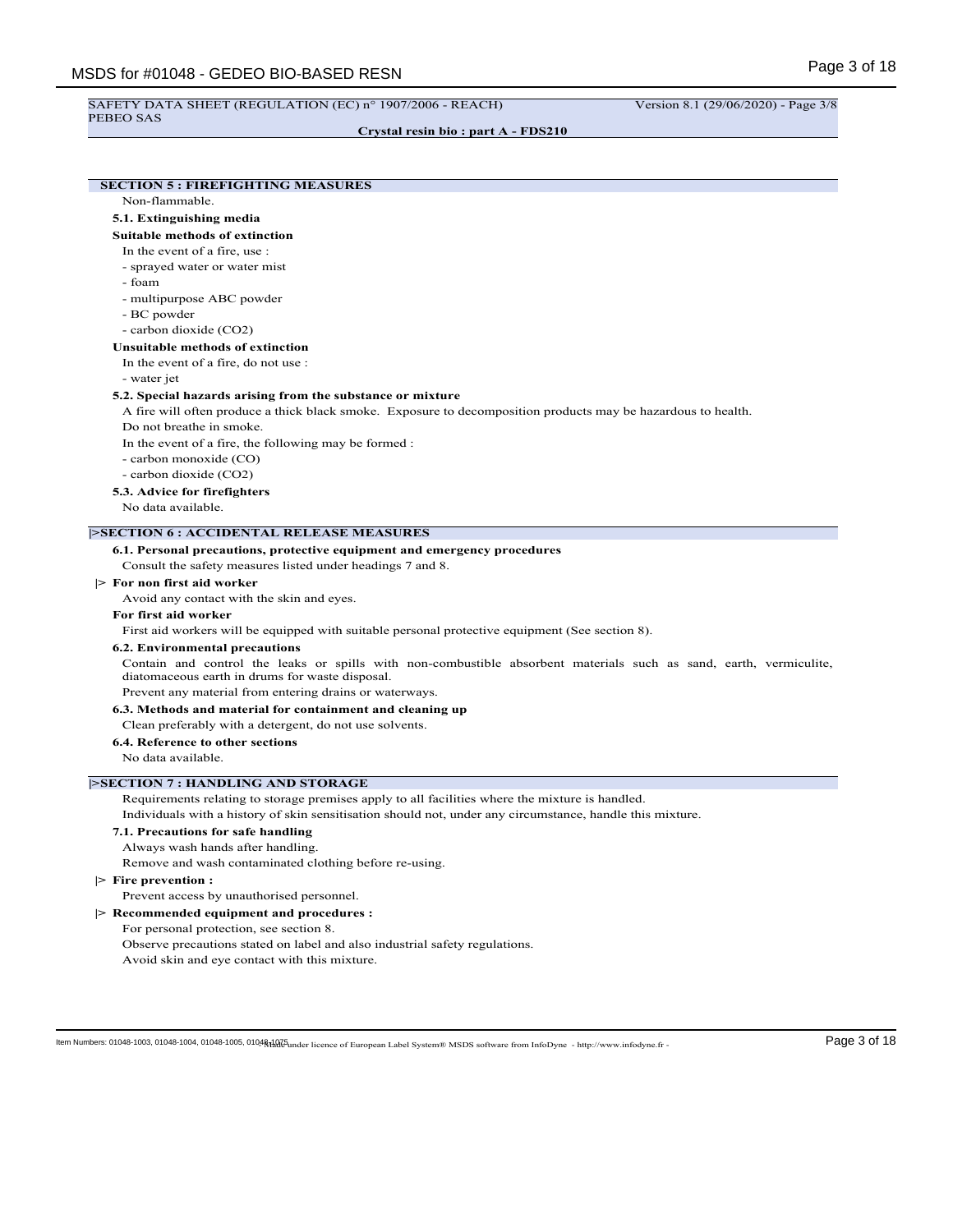# SAFETY DATA SHEET (REGULATION (EC) n° 1907/2006 - REACH) Version 8.1 (29/06/2020) - Page 3/8

PEBEO SAS

**Crystal resin bio : part A - FDS210**

# **SECTION 5 : FIREFIGHTING MEASURES**

Non-flammable.

# **5.1. Extinguishing media**

# **Suitable methods of extinction**

- In the event of a fire, use :
- sprayed water or water mist
- foam
- multipurpose ABC powder
- BC powder
- carbon dioxide (CO2)

# **Unsuitable methods of extinction**

In the event of a fire, do not use :

- water jet

#### **5.2. Special hazards arising from the substance or mixture**

A fire will often produce a thick black smoke. Exposure to decomposition products may be hazardous to health. Do not breathe in smoke.

In the event of a fire, the following may be formed :

- carbon monoxide (CO)
- carbon dioxide (CO2)

**5.3. Advice for firefighters**

No data available.

# **|>SECTION 6 : ACCIDENTAL RELEASE MEASURES**

#### **6.1. Personal precautions, protective equipment and emergency procedures**

Consult the safety measures listed under headings 7 and 8.

# **|> For non first aid worker**

Avoid any contact with the skin and eyes.

#### **For first aid worker**

First aid workers will be equipped with suitable personal protective equipment (See section 8).

#### **6.2. Environmental precautions**

Contain and control the leaks or spills with non-combustible absorbent materials such as sand, earth, vermiculite, diatomaceous earth in drums for waste disposal.

Prevent any material from entering drains or waterways.

**6.3. Methods and material for containment and cleaning up**

#### Clean preferably with a detergent, do not use solvents.

**6.4. Reference to other sections**

No data available.

#### **|>SECTION 7 : HANDLING AND STORAGE**

Requirements relating to storage premises apply to all facilities where the mixture is handled.

Individuals with a history of skin sensitisation should not, under any circumstance, handle this mixture.

#### **7.1. Precautions for safe handling**

Always wash hands after handling.

Remove and wash contaminated clothing before re-using.

# **|> Fire prevention :**

# Prevent access by unauthorised personnel.

- **|> Recommended equipment and procedures :**
	- For personal protection, see section 8.
		- Observe precautions stated on label and also industrial safety regulations.
		- Avoid skin and eye contact with this mixture.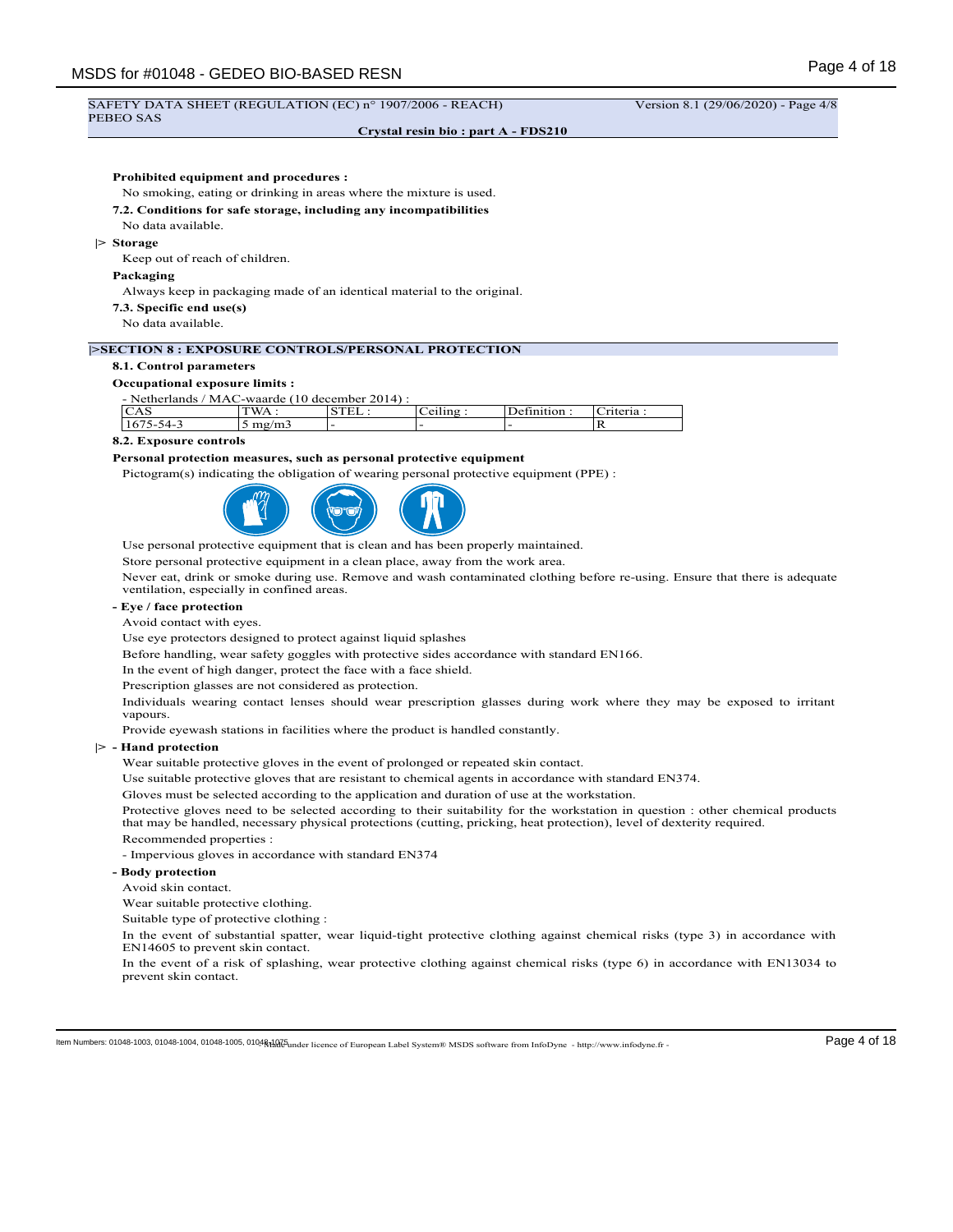#### **Crystal resin bio : part A - FDS210**

# **Prohibited equipment and procedures :**

No smoking, eating or drinking in areas where the mixture is used.

#### **7.2. Conditions for safe storage, including any incompatibilities**

No data available.

#### **|> Storage**

Keep out of reach of children.

#### **Packaging**

Always keep in packaging made of an identical material to the original.

- **7.3. Specific end use(s)**
- No data available.

# **|>SECTION 8 : EXPOSURE CONTROLS/PERSONAL PROTECTION**

# **8.1. Control parameters**

#### **Occupational exposure limits :**

- Netherlands / MAC-waarde (10 december 2014) :

| $\epsilon$<br>$\sim$<br>CA 3 | W A<br>$\cdots$     | ۔                        | $\sim$ $\sim$ $\sim$<br>دست<br>$\sim$<br>◡ | ~<br>,,,,,, | -<br>. .                |
|------------------------------|---------------------|--------------------------|--------------------------------------------|-------------|-------------------------|
| $\sim$<br>۱4-<br>- 10        | دس<br>◡<br>$\cdots$ | $\overline{\phantom{0}}$ | -                                          |             | $\overline{\mathbf{r}}$ |

#### **8.2. Exposure controls**

#### **Personal protection measures, such as personal protective equipment**

Pictogram(s) indicating the obligation of wearing personal protective equipment (PPE) :



Use personal protective equipment that is clean and has been properly maintained.

Store personal protective equipment in a clean place, away from the work area.

Never eat, drink or smoke during use. Remove and wash contaminated clothing before re-using. Ensure that there is adequate ventilation, especially in confined areas.

#### **- Eye / face protection**

Avoid contact with eyes.

Use eye protectors designed to protect against liquid splashes

Before handling, wear safety goggles with protective sides accordance with standard EN166.

In the event of high danger, protect the face with a face shield.

Prescription glasses are not considered as protection.

Individuals wearing contact lenses should wear prescription glasses during work where they may be exposed to irritant vapours.

Provide eyewash stations in facilities where the product is handled constantly.

#### **|> - Hand protection**

Wear suitable protective gloves in the event of prolonged or repeated skin contact.

Use suitable protective gloves that are resistant to chemical agents in accordance with standard EN374.

Gloves must be selected according to the application and duration of use at the workstation.

Protective gloves need to be selected according to their suitability for the workstation in question : other chemical products that may be handled, necessary physical protections (cutting, pricking, heat protection), level of dexterity required. Recommended properties :

- Impervious gloves in accordance with standard EN374

#### **- Body protection**

Avoid skin contact.

Wear suitable protective clothing.

Suitable type of protective clothing :

In the event of substantial spatter, wear liquid-tight protective clothing against chemical risks (type 3) in accordance with EN14605 to prevent skin contact.

In the event of a risk of splashing, wear protective clothing against chemical risks (type 6) in accordance with EN13034 to prevent skin contact.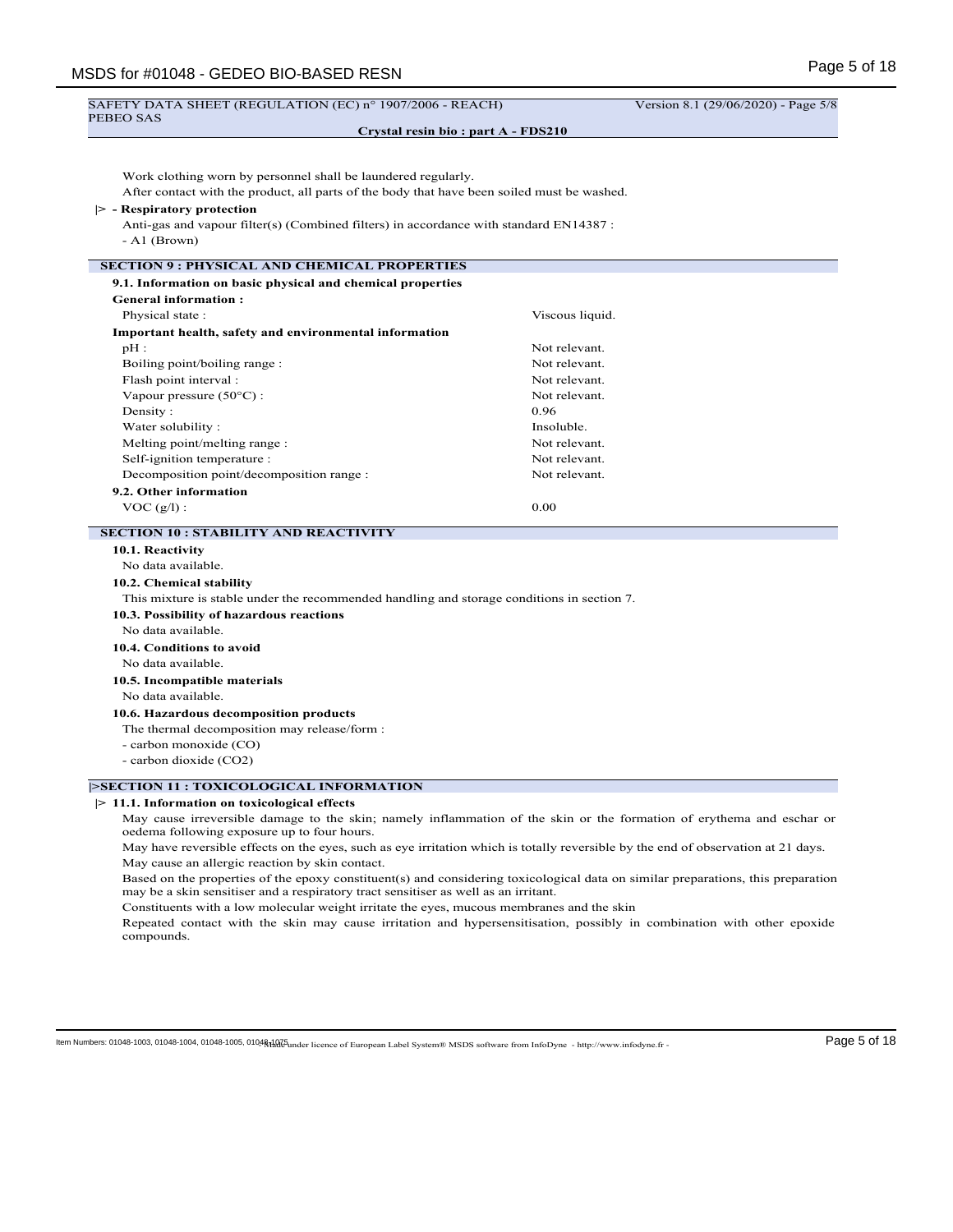| SAFETY DATA SHEET (REGULATION (EC) n° 1907/2006 - REACH)                                                                                                                             |                                    | Version 8.1 (29/06/2020) - Page 5/8 |
|--------------------------------------------------------------------------------------------------------------------------------------------------------------------------------------|------------------------------------|-------------------------------------|
| PEBEO SAS                                                                                                                                                                            | Crystal resin bio: part A - FDS210 |                                     |
|                                                                                                                                                                                      |                                    |                                     |
| Work clothing worn by personnel shall be laundered regularly.                                                                                                                        |                                    |                                     |
| After contact with the product, all parts of the body that have been soiled must be washed.                                                                                          |                                    |                                     |
| $ >$ - Respiratory protection                                                                                                                                                        |                                    |                                     |
| Anti-gas and vapour filter(s) (Combined filters) in accordance with standard EN14387 :                                                                                               |                                    |                                     |
| $-$ A1 (Brown)                                                                                                                                                                       |                                    |                                     |
| <b>SECTION 9 : PHYSICAL AND CHEMICAL PROPERTIES</b>                                                                                                                                  |                                    |                                     |
| 9.1. Information on basic physical and chemical properties                                                                                                                           |                                    |                                     |
| <b>General information:</b>                                                                                                                                                          |                                    |                                     |
| Physical state:                                                                                                                                                                      | Viscous liquid.                    |                                     |
| <b>Important health, safety and environmental information</b>                                                                                                                        |                                    |                                     |
| $pH$ :                                                                                                                                                                               | Not relevant.                      |                                     |
| Boiling point/boiling range :                                                                                                                                                        | Not relevant.                      |                                     |
| Flash point interval :                                                                                                                                                               | Not relevant.                      |                                     |
| Vapour pressure $(50^{\circ}$ C) :                                                                                                                                                   | Not relevant.                      |                                     |
| Density:                                                                                                                                                                             | 0.96                               |                                     |
| Water solubility:                                                                                                                                                                    | Insoluble.                         |                                     |
| Melting point/melting range :                                                                                                                                                        | Not relevant.                      |                                     |
| Self-ignition temperature :                                                                                                                                                          | Not relevant.                      |                                     |
| Decomposition point/decomposition range :                                                                                                                                            | Not relevant.                      |                                     |
| 9.2. Other information                                                                                                                                                               |                                    |                                     |
| $VOC (g/l)$ :                                                                                                                                                                        | 0.00                               |                                     |
| <b>SECTION 10 : STABILITY AND REACTIVITY</b>                                                                                                                                         |                                    |                                     |
| 10.1. Reactivity                                                                                                                                                                     |                                    |                                     |
| No data available.                                                                                                                                                                   |                                    |                                     |
| 10.2. Chemical stability                                                                                                                                                             |                                    |                                     |
| This mixture is stable under the recommended handling and storage conditions in section 7.                                                                                           |                                    |                                     |
| 10.3. Possibility of hazardous reactions                                                                                                                                             |                                    |                                     |
| No data available.                                                                                                                                                                   |                                    |                                     |
| 10.4. Conditions to avoid                                                                                                                                                            |                                    |                                     |
| No data available.                                                                                                                                                                   |                                    |                                     |
| 10.5. Incompatible materials                                                                                                                                                         |                                    |                                     |
| No data available.                                                                                                                                                                   |                                    |                                     |
| 10.6. Hazardous decomposition products                                                                                                                                               |                                    |                                     |
| The thermal decomposition may release/form :                                                                                                                                         |                                    |                                     |
| - carbon monoxide (CO)                                                                                                                                                               |                                    |                                     |
| - carbon dioxide (CO2)                                                                                                                                                               |                                    |                                     |
| >SECTION 11 : TOXICOLOGICAL INFORMATION                                                                                                                                              |                                    |                                     |
| $\geq 11.1$ . Information on toxicological effects                                                                                                                                   |                                    |                                     |
| May cause irreversible damage to the skin; namely inflammation of the skin or the formation of erythema and eschar or<br>oedema following exposure up to four hours.                 |                                    |                                     |
| May have reversible effects on the eyes, such as eye irritation which is totally reversible by the end of observation at 21 days.<br>May cause an allergic reaction by skin contact. |                                    |                                     |

Based on the properties of the epoxy constituent(s) and considering toxicological data on similar preparations, this preparation may be a skin sensitiser and a respiratory tract sensitiser as well as an irritant.

Constituents with a low molecular weight irritate the eyes, mucous membranes and the skin

Repeated contact with the skin may cause irritation and hypersensitisation, possibly in combination with other epoxide compounds.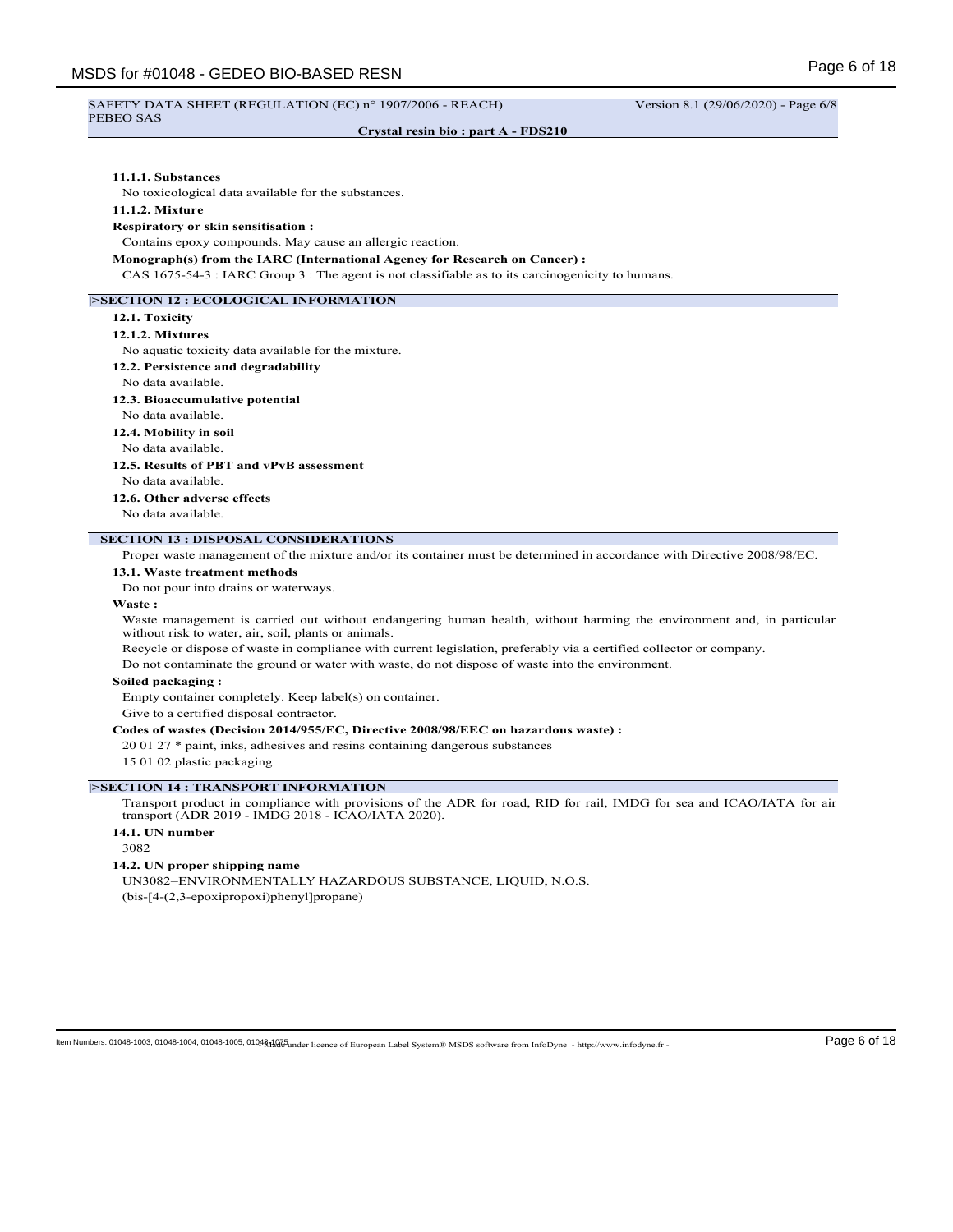# PEBEO SAS

**Crystal resin bio : part A - FDS210**

## **11.1.1. Substances**

No toxicological data available for the substances.

#### **11.1.2. Mixture**

#### **Respiratory or skin sensitisation :**

Contains epoxy compounds. May cause an allergic reaction.

**Monograph(s) from the IARC (International Agency for Research on Cancer) :**

CAS 1675-54-3 : IARC Group 3 : The agent is not classifiable as to its carcinogenicity to humans.

# **|>SECTION 12 : ECOLOGICAL INFORMATION**

#### **12.1. Toxicity**

# **12.1.2. Mixtures**

No aquatic toxicity data available for the mixture.

- **12.2. Persistence and degradability**
- No data available.

# **12.3. Bioaccumulative potential**

#### No data available.

**12.4. Mobility in soil**

# No data available.

**12.5. Results of PBT and vPvB assessment**

- No data available.
- **12.6. Other adverse effects**

No data available.

# **SECTION 13 : DISPOSAL CONSIDERATIONS**

Proper waste management of the mixture and/or its container must be determined in accordance with Directive 2008/98/EC.

#### **13.1. Waste treatment methods**

Do not pour into drains or waterways.

#### **Waste :**

Waste management is carried out without endangering human health, without harming the environment and, in particular without risk to water, air, soil, plants or animals.

Recycle or dispose of waste in compliance with current legislation, preferably via a certified collector or company.

Do not contaminate the ground or water with waste, do not dispose of waste into the environment.

# **Soiled packaging :**

Empty container completely. Keep label(s) on container.

Give to a certified disposal contractor.

### **Codes of wastes (Decision 2014/955/EC, Directive 2008/98/EEC on hazardous waste) :**

20 01 27 \* paint, inks, adhesives and resins containing dangerous substances

15 01 02 plastic packaging

### **|>SECTION 14 : TRANSPORT INFORMATION**

Transport product in compliance with provisions of the ADR for road, RID for rail, IMDG for sea and ICAO/IATA for air transport (ADR 2019 - IMDG 2018 - ICAO/IATA 2020).

# **14.1. UN number**

3082

### **14.2. UN proper shipping name**

UN3082=ENVIRONMENTALLY HAZARDOUS SUBSTANCE, LIQUID, N.O.S. (bis-[4-(2,3-epoxipropoxi)phenyl]propane)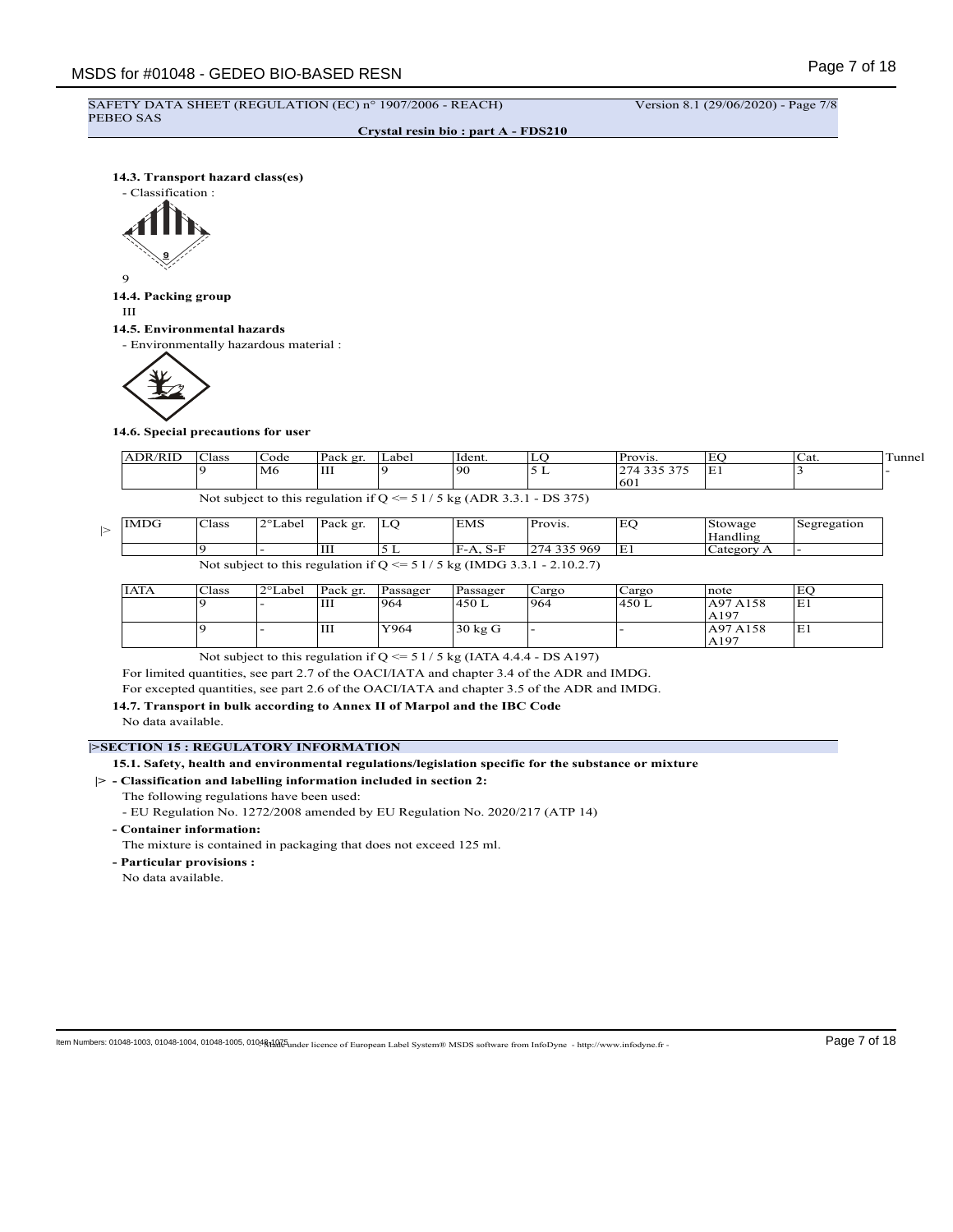# SAFETY DATA SHEET (REGULATION (EC) n° 1907/2006 - REACH) Version 8.1 (29/06/2020) - Page 7/8 PEBEO SAS

**Crystal resin bio : part A - FDS210**

**14.3. Transport hazard class(es)**



# 9

**14.4. Packing group**

III

# **14.5. Environmental hazards**

- Environmentally hazardous material :



# **14.6. Special precautions for user**

| <b>ADR/RII</b> | $\sim$<br>Class | Code | Pack er. | Label | Hdent. | س ک | <b>Provis.</b>          | EC.                   | Cat. | unnel |
|----------------|-----------------|------|----------|-------|--------|-----|-------------------------|-----------------------|------|-------|
|                |                 | M6   | Ш        |       | 96 ا   | -   | $\cdots$<br>$\sim$<br>∼ | $\blacksquare$<br>E I |      |       |
|                |                 |      |          |       |        |     | 1601                    |                       |      |       |

Not subject to this regulation if  $Q \le 51/5$  kg (ADR 3.3.1 - DS 375)

| <b>IMDG</b> | Class | 2°Label <sup>'</sup> | Pack gr. | LO | <b>EMS</b> | Provis.                                                                      | EC  | Stowage    | Segregation |
|-------------|-------|----------------------|----------|----|------------|------------------------------------------------------------------------------|-----|------------|-------------|
|             |       |                      |          |    |            |                                                                              |     | Handling   |             |
|             |       |                      | Ш        |    | IF-A. S-F  | 274 335 969                                                                  | IE1 | Category A |             |
|             |       |                      |          |    |            | Not subject to this regulation if Q $\le$ = 5 1/5 kg (IMDG 3.3.1 - 2.10.2.7) |     |            |             |

| IATA | Class | 2°Label | Pack gr. | Passager | Passager | Cargo | Cargo  | note     | EС |
|------|-------|---------|----------|----------|----------|-------|--------|----------|----|
|      |       |         | Ш        | 964      | 1450 L   | 1964  | 1450 L | A97 A158 | E1 |
|      |       |         |          |          |          |       |        | AA197    |    |
|      |       |         | Ш        | Y964     | 30 kg G  | . .   |        | A97 A158 | E1 |
|      |       |         |          |          |          |       |        | AA197    |    |

Not subject to this regulation if  $Q \le 51/5$  kg (IATA 4.4.4 - DS A197)

For limited quantities, see part 2.7 of the OACI/IATA and chapter 3.4 of the ADR and IMDG.

For excepted quantities, see part 2.6 of the OACI/IATA and chapter 3.5 of the ADR and IMDG.

**14.7. Transport in bulk according to Annex II of Marpol and the IBC Code**

No data available.

# **|>SECTION 15 : REGULATORY INFORMATION**

**15.1. Safety, health and environmental regulations/legislation specific for the substance or mixture**

# **|> - Classification and labelling information included in section 2:**

The following regulations have been used:

- EU Regulation No. 1272/2008 amended by EU Regulation No. 2020/217 (ATP 14)
- **Container information:**

The mixture is contained in packaging that does not exceed 125 ml.

**- Particular provisions :**

No data available.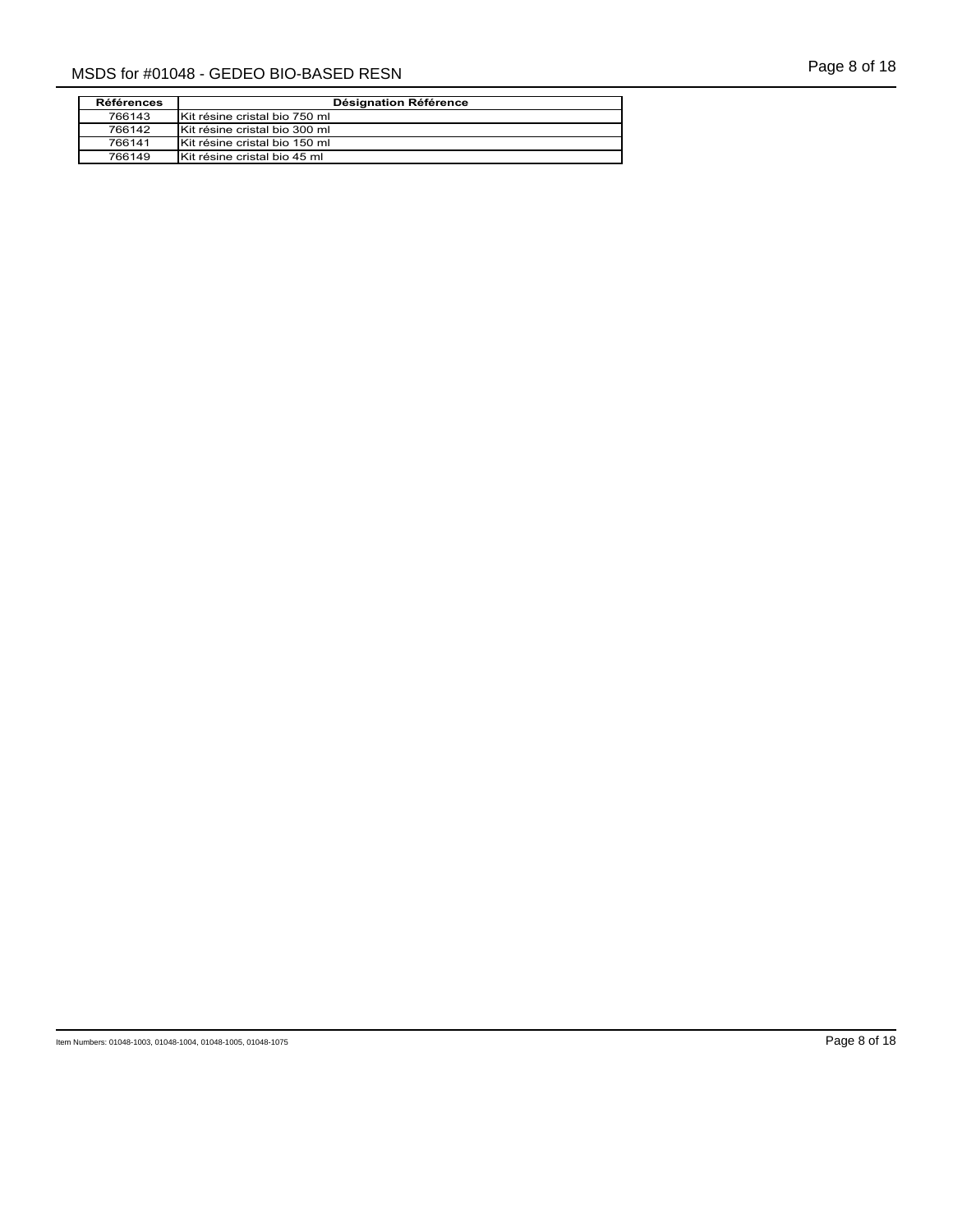| Page 8 of 18 |  |  |  |
|--------------|--|--|--|
|--------------|--|--|--|

| <b>Références</b> | Désignation Référence         |
|-------------------|-------------------------------|
| 766143            | Kit résine cristal bio 750 ml |
| 766142            | Kit résine cristal bio 300 ml |
| 766141            | Kit résine cristal bio 150 ml |
| 766149            | Kit résine cristal bio 45 ml  |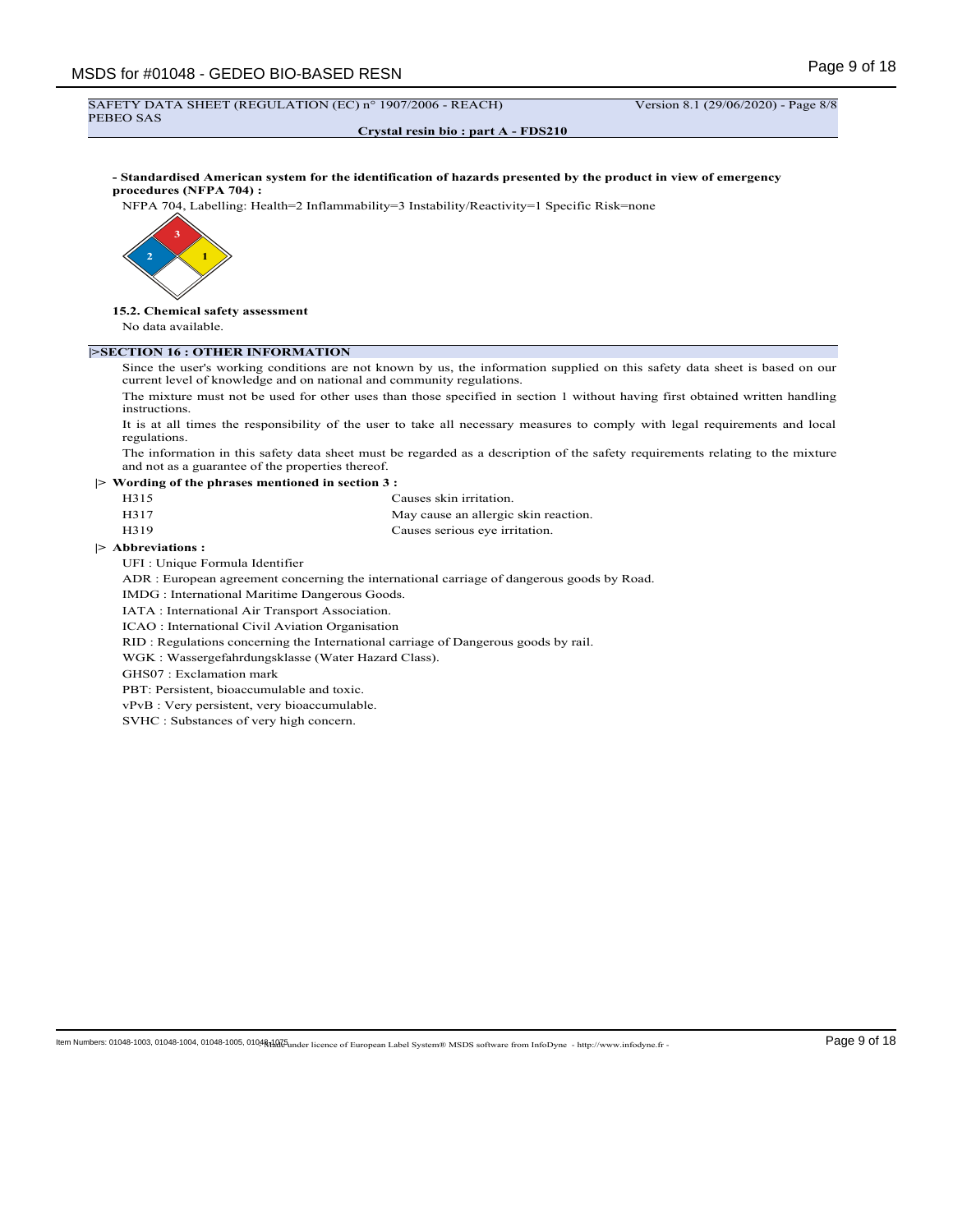#### SAFETY DATA SHEET (REGULATION (EC) n° 1907/2006 - REACH) Version 8.1 (29/06/2020) - Page 8/8 PEBEO SAS

**Crystal resin bio : part A - FDS210**

**- Standardised American system for the identification of hazards presented by the product in view of emergency procedures (NFPA 704) :**

NFPA 704, Labelling: Health=2 Inflammability=3 Instability/Reactivity=1 Specific Risk=none



**15.2. Chemical safety assessment**

No data available.

# **|>SECTION 16 : OTHER INFORMATION**

Since the user's working conditions are not known by us, the information supplied on this safety data sheet is based on our current level of knowledge and on national and community regulations.

The mixture must not be used for other uses than those specified in section 1 without having first obtained written handling instructions.

It is at all times the responsibility of the user to take all necessary measures to comply with legal requirements and local regulations.

The information in this safety data sheet must be regarded as a description of the safety requirements relating to the mixture and not as a guarantee of the properties thereof.

**|> Wording of the phrases mentioned in section 3 :**

| H315 | Causes skin irritation.              |
|------|--------------------------------------|
| H317 | May cause an allergic skin reaction. |
| H319 | Causes serious eye irritation.       |

#### **|> Abbreviations :**

UFI : Unique Formula Identifier

ADR : European agreement concerning the international carriage of dangerous goods by Road.

IMDG : International Maritime Dangerous Goods.

IATA : International Air Transport Association.

ICAO : International Civil Aviation Organisation

RID : Regulations concerning the International carriage of Dangerous goods by rail.

WGK : Wassergefahrdungsklasse (Water Hazard Class).

GHS07 : Exclamation mark

PBT: Persistent, bioaccumulable and toxic.

vPvB : Very persistent, very bioaccumulable.

SVHC : Substances of very high concern.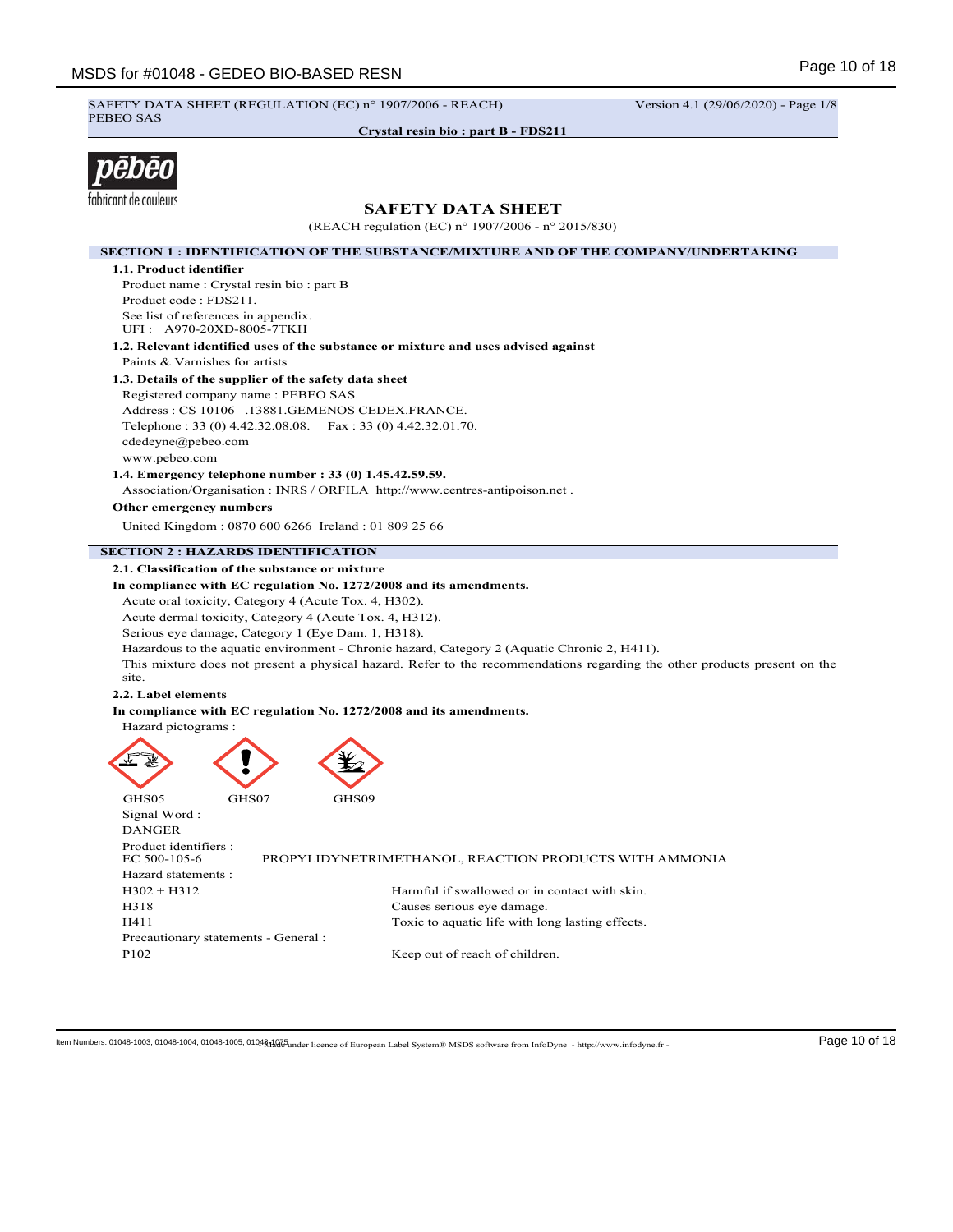SAFETY DATA SHEET (REGULATION (EC) n° 1907/2006 - REACH) Version 4.1 (29/06/2020) - Page 1/8 PEBEO SAS

**Crystal resin bio : part B - FDS211**



# **SAFETY DATA SHEET**

(REACH regulation (EC) n° 1907/2006 - n° 2015/830) **SECTION 1 : IDENTIFICATION OF THE SUBSTANCE/MIXTURE AND OF THE COMPANY/UNDERTAKING 1.1. Product identifier** Product name : Crystal resin bio : part B Product code : FDS211. See list of references in appendix. UFI : A970-20XD-8005-7TKH **1.2. Relevant identified uses of the substance or mixture and uses advised against** Paints & Varnishes for artists **1.3. Details of the supplier of the safety data sheet** Registered company name : PEBEO SAS. Address : CS 10106 .13881.GEMENOS CEDEX.FRANCE. Telephone : 33 (0) 4.42.32.08.08. Fax : 33 (0) 4.42.32.01.70. cdedeyne@pebeo.com www.pebeo.com **1.4. Emergency telephone number : 33 (0) 1.45.42.59.59.** Association/Organisation : INRS / ORFILA http://www.centres-antipoison.net . **Other emergency numbers** United Kingdom : 0870 600 6266 Ireland : 01 809 25 66 **SECTION 2 : HAZARDS IDENTIFICATION 2.1. Classification of the substance or mixture In compliance with EC regulation No. 1272/2008 and its amendments.** Acute oral toxicity, Category 4 (Acute Tox. 4, H302). Acute dermal toxicity, Category 4 (Acute Tox. 4, H312). Serious eye damage, Category 1 (Eye Dam. 1, H318). Hazardous to the aquatic environment - Chronic hazard, Category 2 (Aquatic Chronic 2, H411). This mixture does not present a physical hazard. Refer to the recommendations regarding the other products present on the site. **2.2. Label elements In compliance with EC regulation No. 1272/2008 and its amendments.** Hazard pictograms : GHS05 GHS07 GHS09 Signal Word : DANGER Product identifiers :<br>EC 500-105-6 PROPYLIDYNETRIMETHANOL, REACTION PRODUCTS WITH AMMONIA Hazard statements : H302 + H312 Harmful if swallowed or in contact with skin. H318 Causes serious eye damage. H411 Toxic to aquatic life with long lasting effects. Precautionary statements - General : P<sub>102</sub> Keep out of reach of children.

ltem Numbers: 01048-1003, 01048-1004, 01048-1005, 01048dad 5 Lucence of European Label System® MSDS software from InfoDyne - http://www.infodyne.fr - Page 10 of 18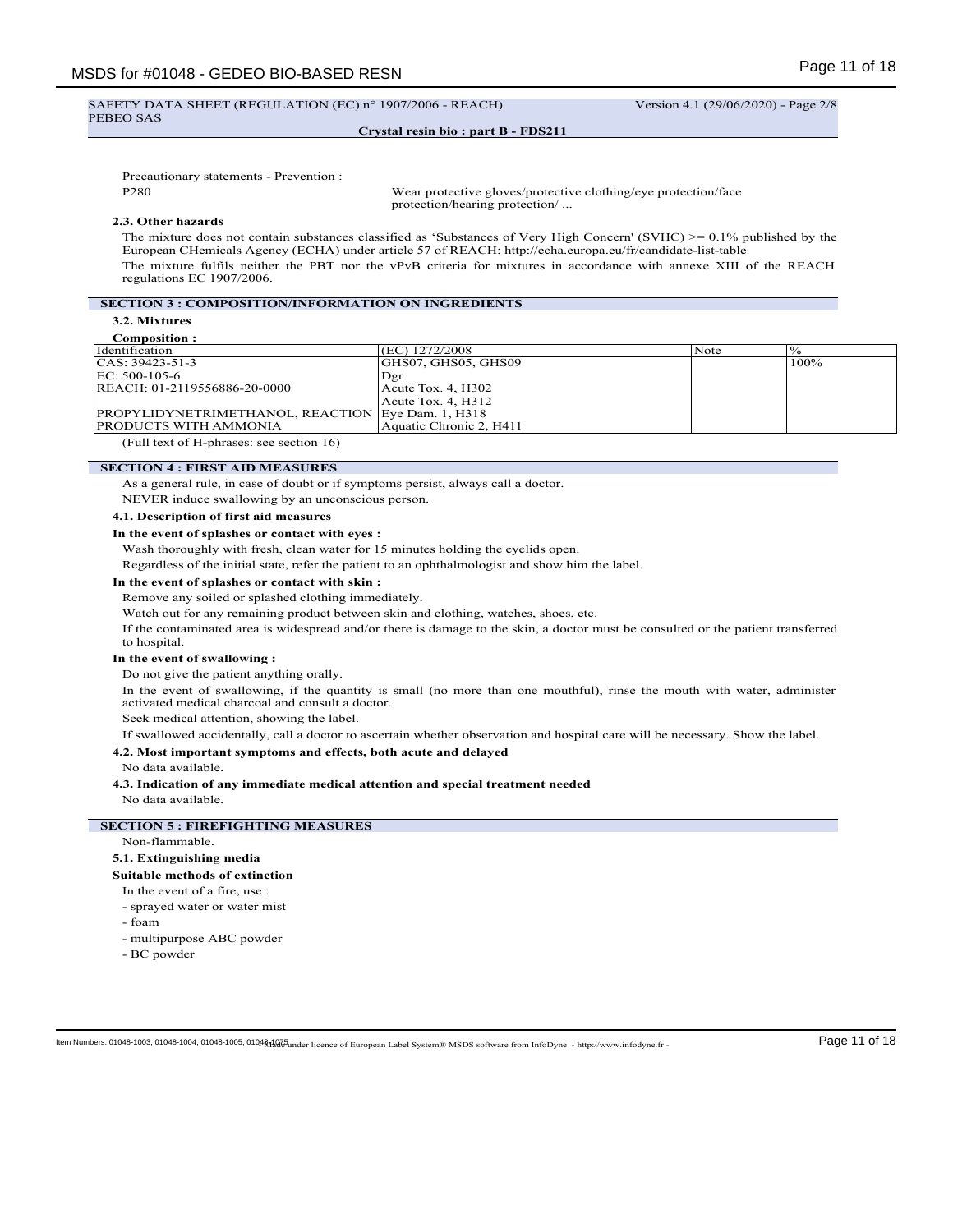#### SAFETY DATA SHEET (REGULATION (EC) n° 1907/2006 - REACH) Version 4.1 (29/06/2020) - Page 2/8 PEBEO SAS

# **Crystal resin bio : part B - FDS211**

Precautionary statements - Prevention :

P280 Wear protective gloves/protective clothing/eye protection/face protection/hearing protection/ ...

# **2.3. Other hazards**

The mixture does not contain substances classified as 'Substances of Very High Concern' (SVHC) >= 0.1% published by the European CHemicals Agency (ECHA) under article 57 of REACH: http://echa.europa.eu/fr/candidate-list-table The mixture fulfils neither the PBT nor the vPvB criteria for mixtures in accordance with annexe XIII of the REACH regulations EC 1907/2006.

# **SECTION 3 : COMPOSITION/INFORMATION ON INGREDIENTS**

**3.2. Mixtures**

| Composition:                                             |                         |      |      |
|----------------------------------------------------------|-------------------------|------|------|
| Identification                                           | (EC) 1272/2008          | Note |      |
| CAS: 39423-51-3                                          | GHS07, GHS05, GHS09     |      | 100% |
| EC: 500-105-6                                            | Dgr                     |      |      |
| REACH: 01-2119556886-20-0000                             | $Acute$ Tox. 4, H302    |      |      |
|                                                          | $Acute$ Tox. 4, H312    |      |      |
| <b>PROPYLIDYNETRIMETHANOL, REACTION Eye Dam. 1, H318</b> |                         |      |      |
| PRODUCTS WITH AMMONIA                                    | Aquatic Chronic 2, H411 |      |      |
| (Full text of H-phrases: see section 16)                 |                         |      |      |

**SECTION 4 : FIRST AID MEASURES**

As a general rule, in case of doubt or if symptoms persist, always call a doctor.

NEVER induce swallowing by an unconscious person.

**4.1. Description of first aid measures**

#### **In the event of splashes or contact with eyes :**

Wash thoroughly with fresh, clean water for 15 minutes holding the eyelids open.

Regardless of the initial state, refer the patient to an ophthalmologist and show him the label.

#### **In the event of splashes or contact with skin :**

Remove any soiled or splashed clothing immediately.

Watch out for any remaining product between skin and clothing, watches, shoes, etc.

If the contaminated area is widespread and/or there is damage to the skin, a doctor must be consulted or the patient transferred to hospital.

#### **In the event of swallowing :**

Do not give the patient anything orally.

In the event of swallowing, if the quantity is small (no more than one mouthful), rinse the mouth with water, administer activated medical charcoal and consult a doctor.

Seek medical attention, showing the label.

If swallowed accidentally, call a doctor to ascertain whether observation and hospital care will be necessary. Show the label.

# **4.2. Most important symptoms and effects, both acute and delayed**

No data available.

# **4.3. Indication of any immediate medical attention and special treatment needed**

No data available.

### **SECTION 5 : FIREFIGHTING MEASURES**

### Non-flammable.

#### **5.1. Extinguishing media**

**Suitable methods of extinction**

- In the event of a fire, use :
- sprayed water or water mist
- foam
- multipurpose ABC powder
- BC powder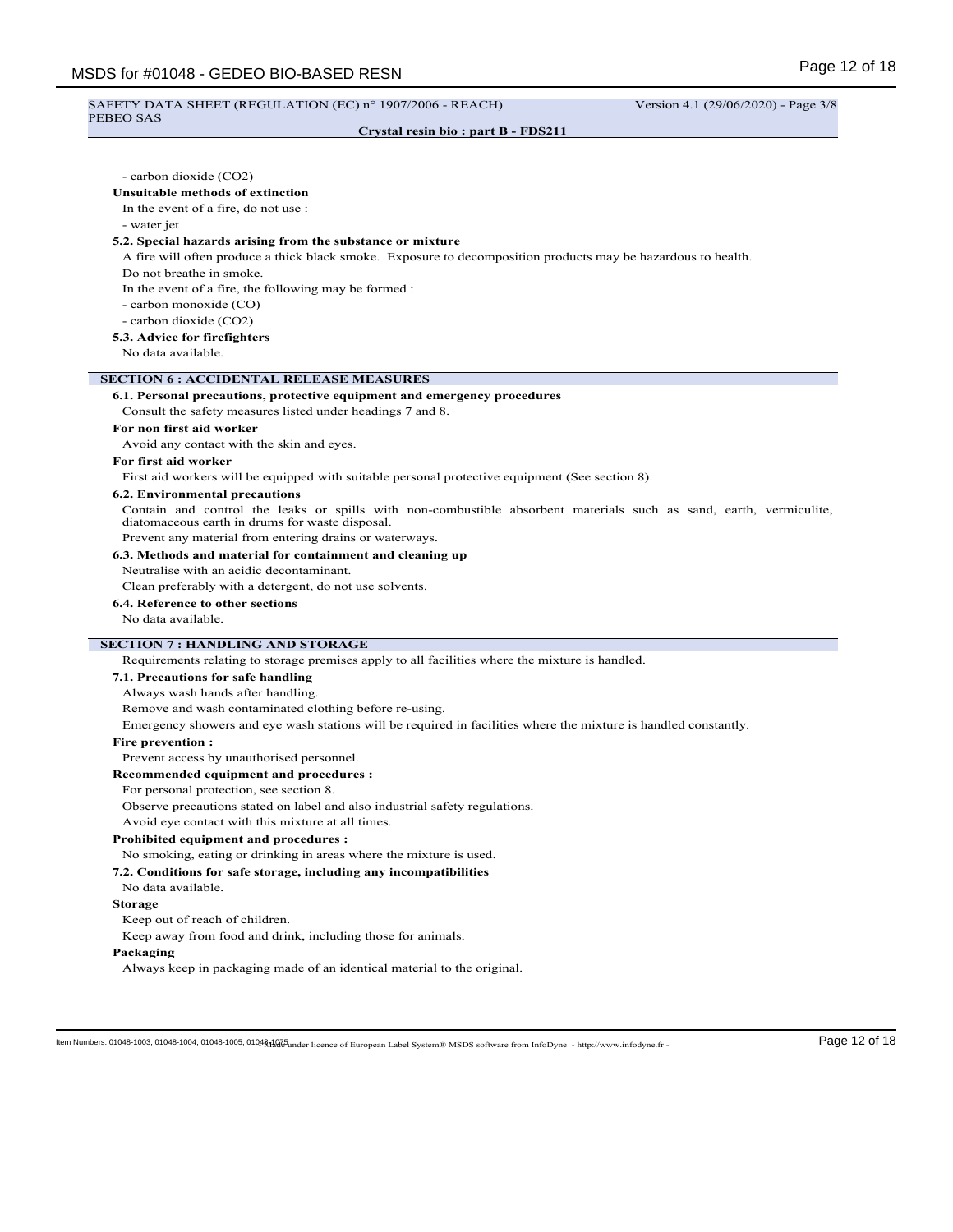#### SAFETY DATA SHEET (REGULATION (EC) n° 1907/2006 - REACH) Version 4.1 (29/06/2020) - Page 3/8 PEBEO SAS

- water jet

**Crystal resin bio : part B - FDS211**

- carbon dioxide (CO2) **Unsuitable methods of extinction** In the event of a fire, do not use : **5.2. Special hazards arising from the substance or mixture** A fire will often produce a thick black smoke. Exposure to decomposition products may be hazardous to health. Do not breathe in smoke. In the event of a fire, the following may be formed : - carbon monoxide (CO) - carbon dioxide (CO2)

#### **5.3. Advice for firefighters**

No data available.

#### **SECTION 6 : ACCIDENTAL RELEASE MEASURES**

#### **6.1. Personal precautions, protective equipment and emergency procedures**

Consult the safety measures listed under headings 7 and 8.

#### **For non first aid worker**

Avoid any contact with the skin and eyes.

#### **For first aid worker**

First aid workers will be equipped with suitable personal protective equipment (See section 8).

#### **6.2. Environmental precautions**

Contain and control the leaks or spills with non-combustible absorbent materials such as sand, earth, vermiculite, diatomaceous earth in drums for waste disposal.

Prevent any material from entering drains or waterways.

# **6.3. Methods and material for containment and cleaning up**

Neutralise with an acidic decontaminant.

Clean preferably with a detergent, do not use solvents.

# **6.4. Reference to other sections**

No data available.

# **SECTION 7 : HANDLING AND STORAGE**

Requirements relating to storage premises apply to all facilities where the mixture is handled.

#### **7.1. Precautions for safe handling**

Always wash hands after handling.

Remove and wash contaminated clothing before re-using.

Emergency showers and eye wash stations will be required in facilities where the mixture is handled constantly.

#### **Fire prevention :**

Prevent access by unauthorised personnel.

#### **Recommended equipment and procedures :**

For personal protection, see section 8.

Observe precautions stated on label and also industrial safety regulations.

Avoid eye contact with this mixture at all times.

#### **Prohibited equipment and procedures :**

No smoking, eating or drinking in areas where the mixture is used.

# **7.2. Conditions for safe storage, including any incompatibilities**

No data available.

#### **Storage**

Keep out of reach of children.

Keep away from food and drink, including those for animals.

#### **Packaging**

Always keep in packaging made of an identical material to the original.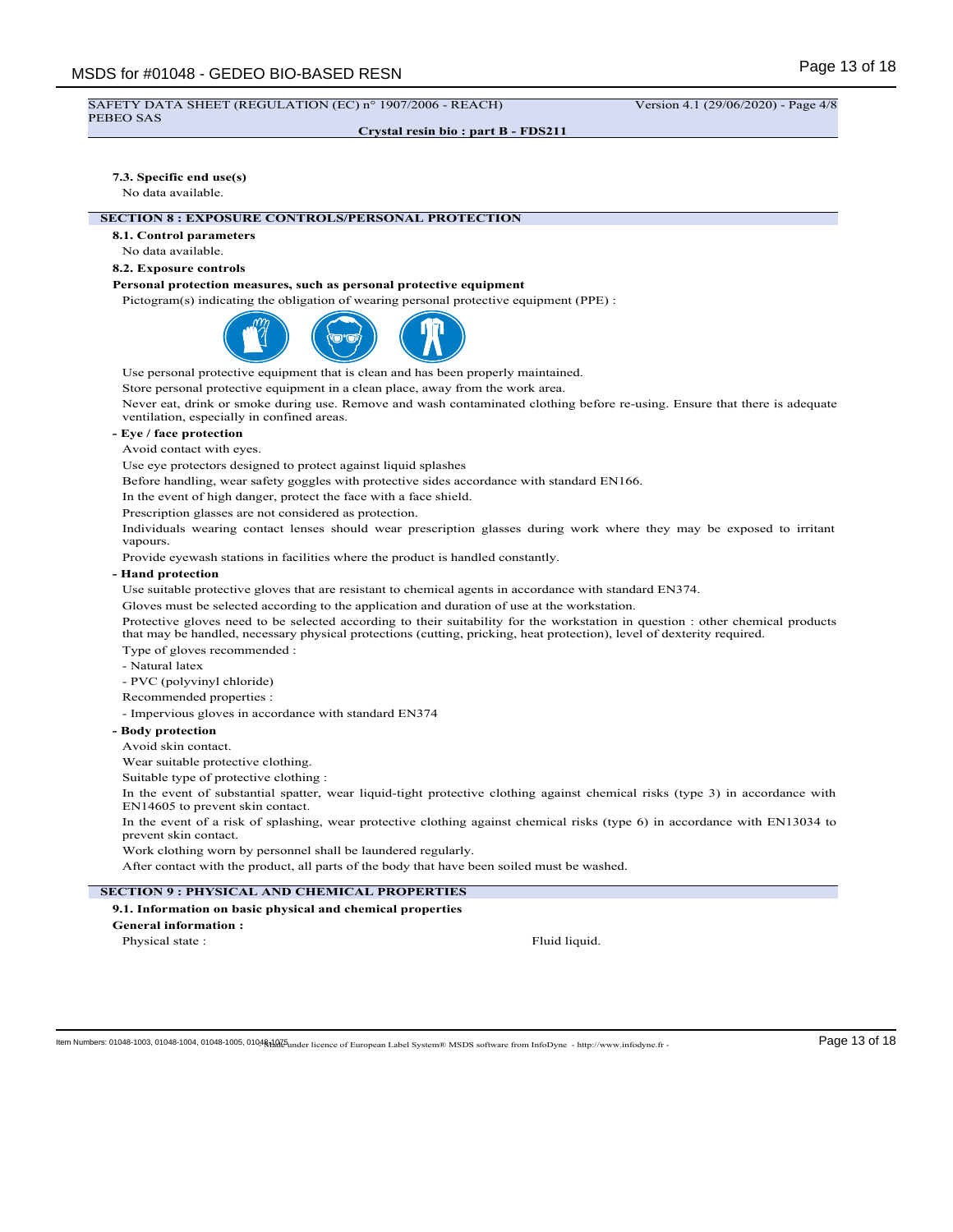#### SAFETY DATA SHEET (REGULATION (EC) n° 1907/2006 - REACH) Version 4.1 (29/06/2020) - Page 4/8 PEBEO SAS

**Crystal resin bio : part B - FDS211**

#### **7.3. Specific end use(s)**

No data available.

# **SECTION 8 : EXPOSURE CONTROLS/PERSONAL PROTECTION**

**8.1. Control parameters**

No data available.

# **8.2. Exposure controls**

# **Personal protection measures, such as personal protective equipment**

Pictogram(s) indicating the obligation of wearing personal protective equipment (PPE) :



Use personal protective equipment that is clean and has been properly maintained.

Store personal protective equipment in a clean place, away from the work area.

Never eat, drink or smoke during use. Remove and wash contaminated clothing before re-using. Ensure that there is adequate ventilation, especially in confined areas.

# **- Eye / face protection**

Avoid contact with eyes.

Use eye protectors designed to protect against liquid splashes

Before handling, wear safety goggles with protective sides accordance with standard EN166.

In the event of high danger, protect the face with a face shield.

Prescription glasses are not considered as protection.

Individuals wearing contact lenses should wear prescription glasses during work where they may be exposed to irritant vapours.

Provide eyewash stations in facilities where the product is handled constantly.

#### **- Hand protection**

Use suitable protective gloves that are resistant to chemical agents in accordance with standard EN374.

Gloves must be selected according to the application and duration of use at the workstation.

Protective gloves need to be selected according to their suitability for the workstation in question : other chemical products that may be handled, necessary physical protections (cutting, pricking, heat protection), level of dexterity required. Type of gloves recommended :

- Natural latex

- PVC (polyvinyl chloride)

Recommended properties :

- Impervious gloves in accordance with standard EN374

#### **- Body protection**

Avoid skin contact.

Wear suitable protective clothing.

Suitable type of protective clothing :

In the event of substantial spatter, wear liquid-tight protective clothing against chemical risks (type 3) in accordance with EN14605 to prevent skin contact.

In the event of a risk of splashing, wear protective clothing against chemical risks (type 6) in accordance with EN13034 to prevent skin contact.

Work clothing worn by personnel shall be laundered regularly.

After contact with the product, all parts of the body that have been soiled must be washed.

# **SECTION 9 : PHYSICAL AND CHEMICAL PROPERTIES**

#### **9.1. Information on basic physical and chemical properties**

**General information :**

Physical state : Fluid liquid.

ltem Numbers: 01048-1003, 01048-1004, 01048-1005, 01048dad 5 Lucence of European Label System® MSDS software from InfoDyne - http://www.infodyne.fr - Page 13 of 18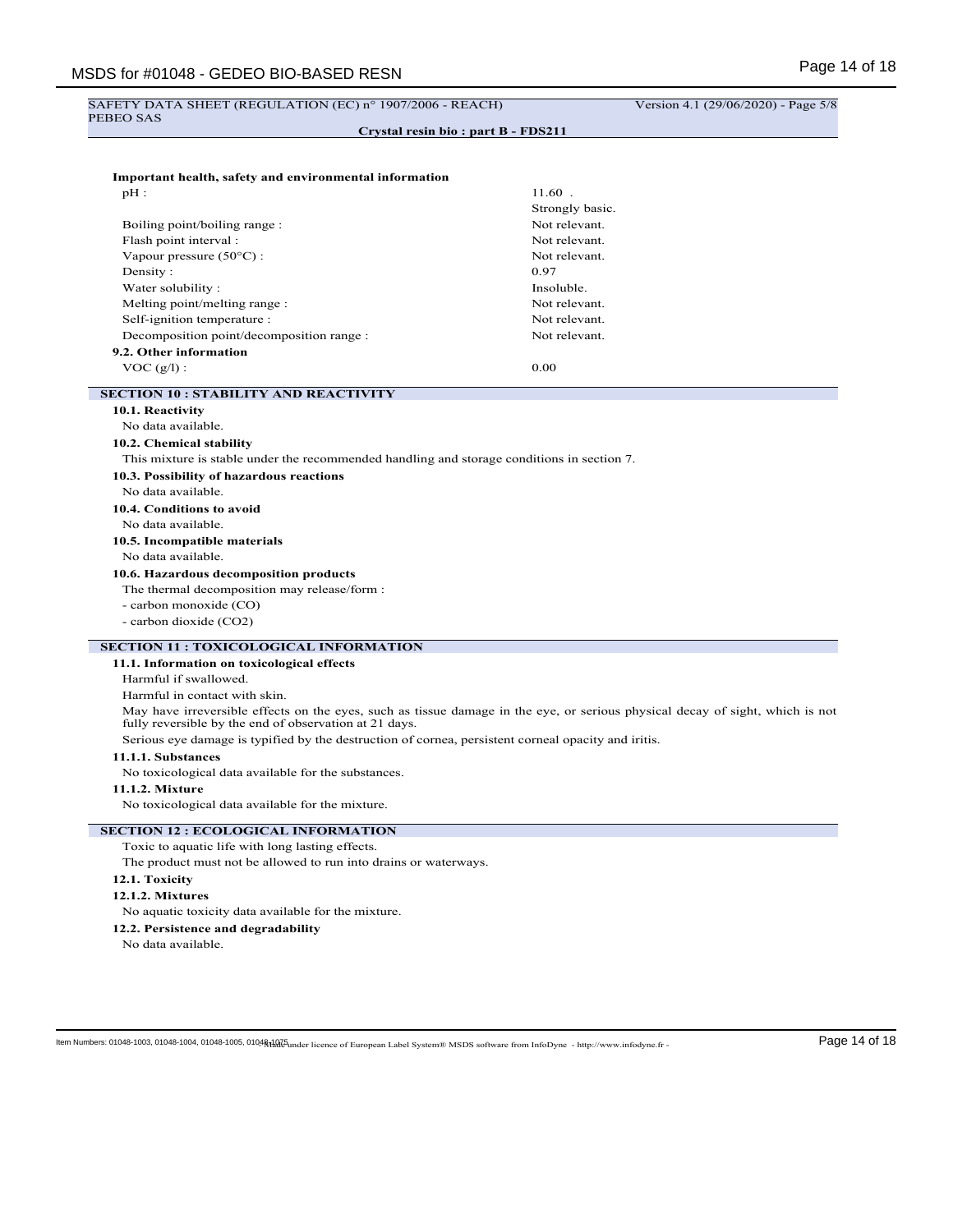# SAFETY DATA SHEET (REGULATION (EC) nº 1907/2006 - REACH) Version 4.1 (29/06/2020) - Page 5/8 PEBEO SAS **Crystal resin bio : part B - FDS211 Important health, safety and environmental information**  $pH$  :  $11.60$  . Strongly basic. Boiling point/boiling range : Not relevant. Flash point interval : Not relevant. Vapour pressure (50°C) : Not relevant. Density :  $0.97$ Water solubility : Insoluble. Melting point/melting range : Not relevant. Self-ignition temperature : Not relevant. Decomposition point/decomposition range : Not relevant. **9.2. Other information**  $VOC(g/l):$  0.00 **SECTION 10 : STABILITY AND REACTIVITY 10.1. Reactivity** No data available. **10.2. Chemical stability** This mixture is stable under the recommended handling and storage conditions in section 7. **10.3. Possibility of hazardous reactions** No data available. **10.4. Conditions to avoid** No data available. **10.5. Incompatible materials** No data available. **10.6. Hazardous decomposition products** The thermal decomposition may release/form : - carbon monoxide (CO) - carbon dioxide (CO2) **SECTION 11 : TOXICOLOGICAL INFORMATION 11.1. Information on toxicological effects** Harmful if swallowed. Harmful in contact with skin. May have irreversible effects on the eyes, such as tissue damage in the eye, or serious physical decay of sight, which is not fully reversible by the end of observation at 21 days. Serious eye damage is typified by the destruction of cornea, persistent corneal opacity and iritis. **11.1.1. Substances** No toxicological data available for the substances. **11.1.2. Mixture** No toxicological data available for the mixture. **SECTION 12 : ECOLOGICAL INFORMATION** Toxic to aquatic life with long lasting effects. The product must not be allowed to run into drains or waterways. **12.1. Toxicity 12.1.2. Mixtures** No aquatic toxicity data available for the mixture. **12.2. Persistence and degradability**

No data available.

ltem Numbers: 01048-1003, 01048-1004, 01048-1005, 01048dare licence of European Label System® MSDS software from InfoDyne - http://www.infodyne.fr - Page 14 of 18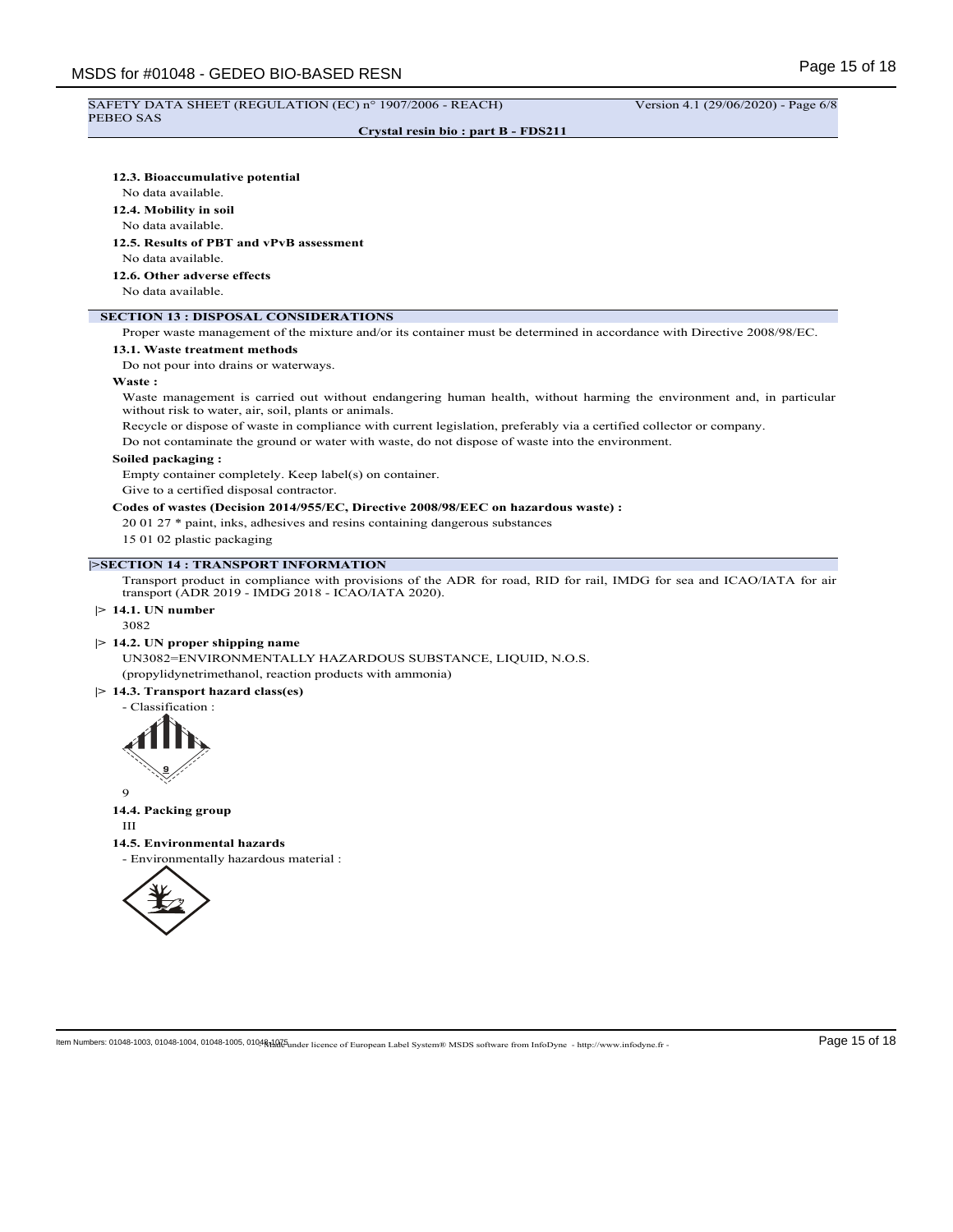# SAFETY DATA SHEET (REGULATION (EC) n° 1907/2006 - REACH) Version 4.1 (29/06/2020) - Page 6/8

# PEBEO SAS

**Crystal resin bio : part B - FDS211**

#### **12.3. Bioaccumulative potential**

No data available.

**12.4. Mobility in soil**

#### No data available.

**12.5. Results of PBT and vPvB assessment**

No data available.

**12.6. Other adverse effects**

No data available.

# **SECTION 13 : DISPOSAL CONSIDERATIONS**

Proper waste management of the mixture and/or its container must be determined in accordance with Directive 2008/98/EC.

# **13.1. Waste treatment methods**

Do not pour into drains or waterways.

### **Waste :**

Waste management is carried out without endangering human health, without harming the environment and, in particular without risk to water, air, soil, plants or animals.

Recycle or dispose of waste in compliance with current legislation, preferably via a certified collector or company.

Do not contaminate the ground or water with waste, do not dispose of waste into the environment.

#### **Soiled packaging :**

Empty container completely. Keep label(s) on container.

Give to a certified disposal contractor.

#### **Codes of wastes (Decision 2014/955/EC, Directive 2008/98/EEC on hazardous waste) :**

20 01 27 \* paint, inks, adhesives and resins containing dangerous substances

15 01 02 plastic packaging

# **|>SECTION 14 : TRANSPORT INFORMATION**

Transport product in compliance with provisions of the ADR for road, RID for rail, IMDG for sea and ICAO/IATA for air transport (ADR 2019 - IMDG 2018 - ICAO/IATA 2020).

### **|> 14.1. UN number**

3082

#### **|> 14.2. UN proper shipping name**

UN3082=ENVIRONMENTALLY HAZARDOUS SUBSTANCE, LIQUID, N.O.S. (propylidynetrimethanol, reaction products with ammonia)

#### **|> 14.3. Transport hazard class(es)**

- Classification :



9

# **14.4. Packing group**

III

#### **14.5. Environmental hazards**

- Environmentally hazardous material :

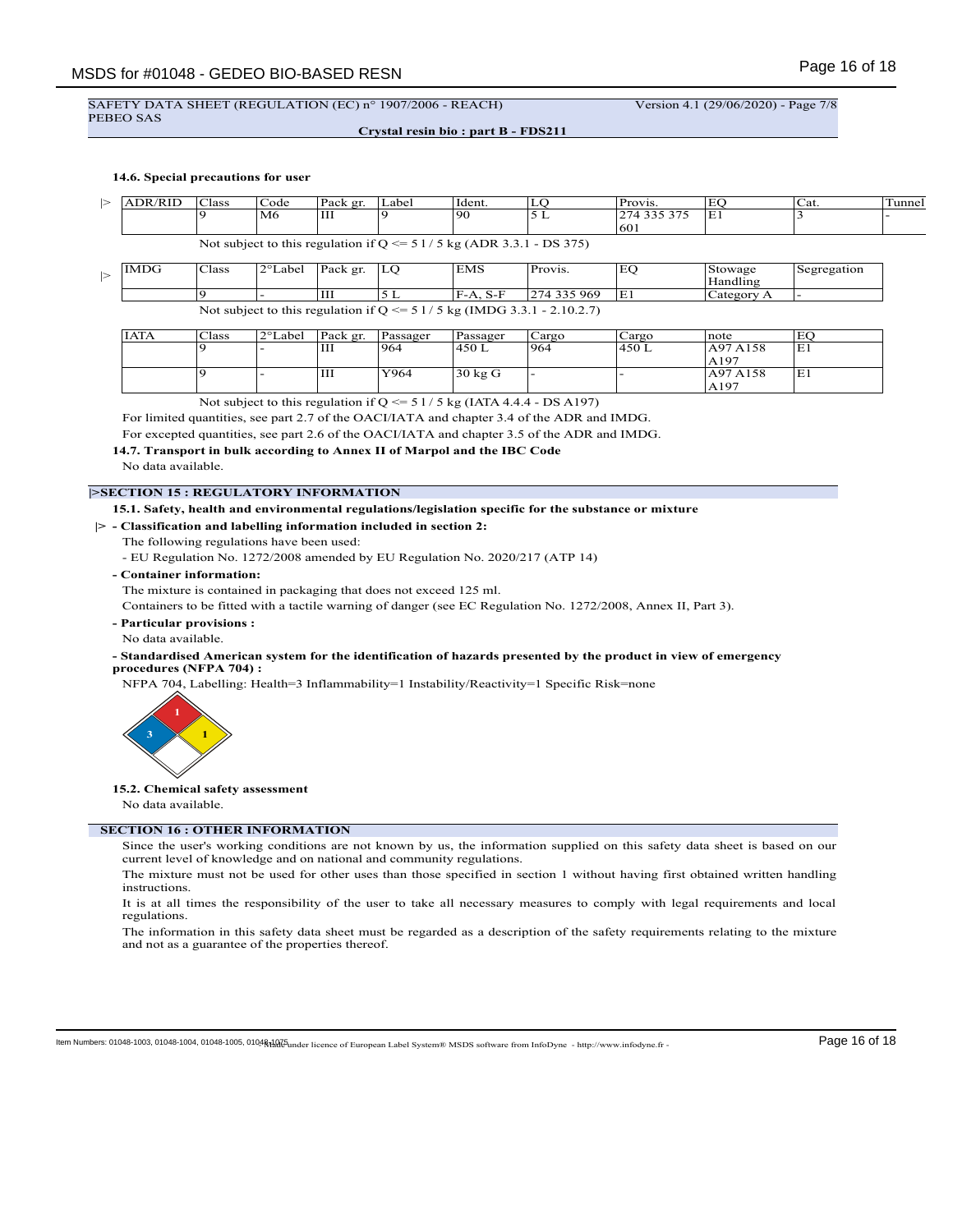#### SAFETY DATA SHEET (REGULATION (EC) n° 1907/2006 - REACH) Version 4.1 (29/06/2020) - Page 7/8 PEBEO SAS

**Crystal resin bio : part B - FDS211**

# **14.6. Special precautions for user**

| ⊳ | <b>ADR/RID</b> | <b>Class</b> | Code    | Pack gr. | Label                                                                  | Ident.     | LO                                                                        | Provis.     | EO                  | Cat.        | Tunnel |
|---|----------------|--------------|---------|----------|------------------------------------------------------------------------|------------|---------------------------------------------------------------------------|-------------|---------------------|-------------|--------|
|   |                |              | M6      | Ш        |                                                                        | 90         | 5 L                                                                       | 274 335 375 | E1                  |             |        |
|   |                |              |         |          |                                                                        |            |                                                                           | 601         |                     |             |        |
|   |                |              |         |          | Not subject to this regulation if $Q \le 51/5$ kg (ADR 3.3.1 - DS 375) |            |                                                                           |             |                     |             |        |
| ⊳ | IMDG           | <b>Class</b> | 2°Label | Pack gr. | LO                                                                     | EMS        | Provis.                                                                   | EQ          | Stowage<br>Handling | Segregation |        |
|   |                |              |         | Ш        | 5 L                                                                    | $F-A. S-F$ | 274 335 969                                                               | E1          | Category A          |             |        |
|   |                |              |         |          |                                                                        |            | Not subject to this regulation if $Q \le 51/5$ kg (IMDG 3.3.1 - 2.10.2.7) |             |                     |             |        |

| <b>IATA</b> | Class | 2°Label | Pack gr. | Passager | Passager  | Cargo | Cargo | note             | EO  |
|-------------|-------|---------|----------|----------|-----------|-------|-------|------------------|-----|
|             |       |         | Ш        | 964      | 450 L     | 964   | 450 L | A97 A158         | ΙE1 |
|             |       |         |          |          |           |       |       | A <sub>197</sub> |     |
|             |       |         | Ш        | Y964     | 30 kg $G$ | -     |       | A97 A158         | E1  |
|             |       |         |          |          |           |       |       | A197             |     |

Not subject to this regulation if  $Q \le 51/5$  kg (IATA 4.4.4 - DS A197)

For limited quantities, see part 2.7 of the OACI/IATA and chapter 3.4 of the ADR and IMDG.

For excepted quantities, see part 2.6 of the OACI/IATA and chapter 3.5 of the ADR and IMDG.

# **14.7. Transport in bulk according to Annex II of Marpol and the IBC Code**

No data available.

# **|>SECTION 15 : REGULATORY INFORMATION**

#### **15.1. Safety, health and environmental regulations/legislation specific for the substance or mixture**

#### **|> - Classification and labelling information included in section 2:**

The following regulations have been used:

- EU Regulation No. 1272/2008 amended by EU Regulation No. 2020/217 (ATP 14)

**- Container information:**

The mixture is contained in packaging that does not exceed 125 ml.

Containers to be fitted with a tactile warning of danger (see EC Regulation No. 1272/2008, Annex II, Part 3).

**- Particular provisions :**

No data available.

#### **- Standardised American system for the identification of hazards presented by the product in view of emergency procedures (NFPA 704) :**

NFPA 704, Labelling: Health=3 Inflammability=1 Instability/Reactivity=1 Specific Risk=none



#### **15.2. Chemical safety assessment**

No data available.

# **SECTION 16 : OTHER INFORMATION**

Since the user's working conditions are not known by us, the information supplied on this safety data sheet is based on our current level of knowledge and on national and community regulations.

The mixture must not be used for other uses than those specified in section 1 without having first obtained written handling instructions.

It is at all times the responsibility of the user to take all necessary measures to comply with legal requirements and local regulations.

The information in this safety data sheet must be regarded as a description of the safety requirements relating to the mixture and not as a guarantee of the properties thereof.

ltem Numbers: 01048-1003, 01048-1004, 01048-1005, 01048dad 5 Lucence of European Label System® MSDS software from InfoDyne - http://www.infodyne.fr - Page 16 of 18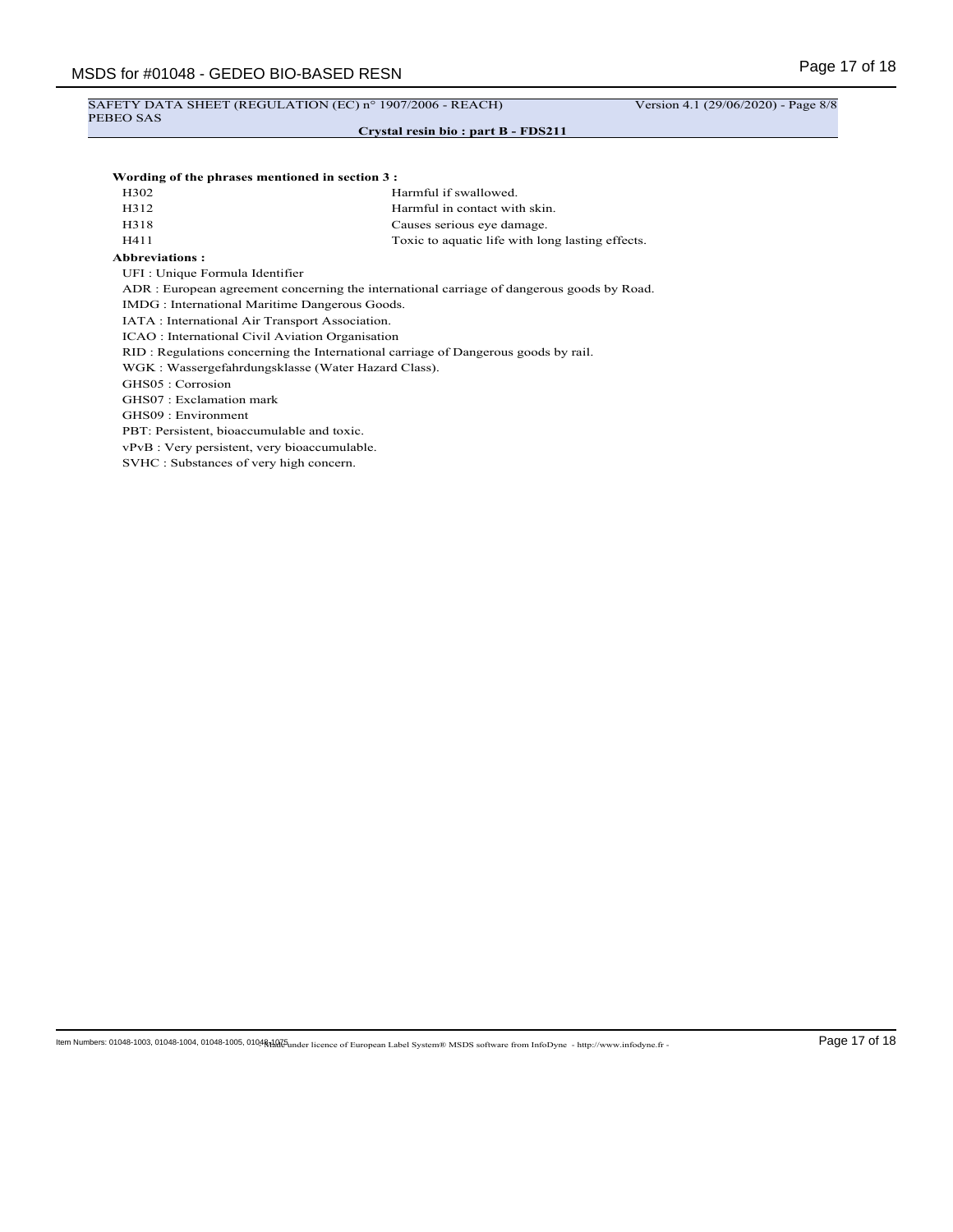# SAFETY DATA SHEET (REGULATION (EC) nº 1907/2006 - REACH) Version 4.1 (29/06/2020) - Page 8/8 PEBEO SAS

#### **Crystal resin bio : part B - FDS211**

#### **Wording of the phrases mentioned in section 3 :**

| H302 | Harmful if swallowed.                            |
|------|--------------------------------------------------|
| H312 | Harmful in contact with skin.                    |
| H318 | Causes serious eye damage.                       |
| H411 | Toxic to aquatic life with long lasting effects. |

#### **Abbreviations :**

UFI : Unique Formula Identifier

ADR : European agreement concerning the international carriage of dangerous goods by Road.

IMDG : International Maritime Dangerous Goods.

IATA : International Air Transport Association.

ICAO : International Civil Aviation Organisation

RID : Regulations concerning the International carriage of Dangerous goods by rail.

WGK : Wassergefahrdungsklasse (Water Hazard Class).

GHS05 : Corrosion

GHS07 : Exclamation mark

GHS09 : Environment

PBT: Persistent, bioaccumulable and toxic.

vPvB : Very persistent, very bioaccumulable.

SVHC : Substances of very high concern.